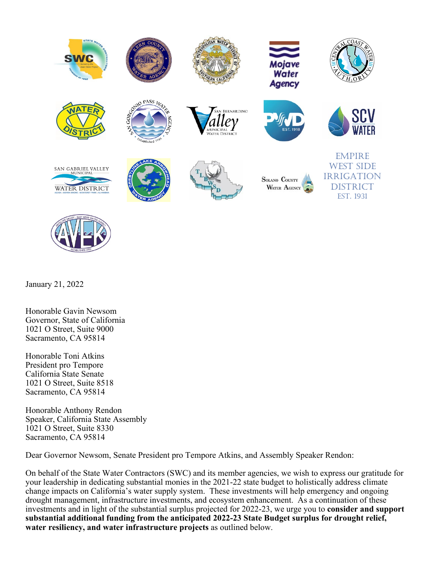

January 21, 2022

Honorable Gavin Newsom Governor, State of California 1021 O Street, Suite 9000 Sacramento, CA 95814

Honorable Toni Atkins President pro Tempore California State Senate 1021 O Street, Suite 8518 Sacramento, CA 95814

Honorable Anthony Rendon Speaker, California State Assembly 1021 O Street, Suite 8330 Sacramento, CA 95814

Dear Governor Newsom, Senate President pro Tempore Atkins, and Assembly Speaker Rendon:

On behalf of the State Water Contractors (SWC) and its member agencies, we wish to express our gratitude for your leadership in dedicating substantial monies in the 2021-22 state budget to holistically address climate change impacts on California's water supply system. These investments will help emergency and ongoing drought management, infrastructure investments, and ecosystem enhancement. As a continuation of these investments and in light of the substantial surplus projected for 2022-23, we urge you to **consider and support substantial additional funding from the anticipated 2022-23 State Budget surplus for drought relief, water resiliency, and water infrastructure projects** as outlined below.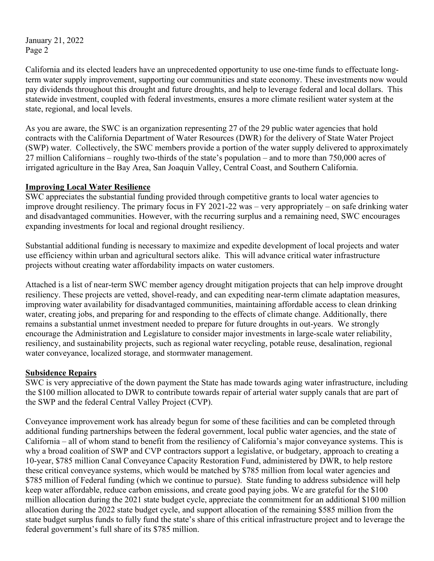January 21, 2022 Page 2

California and its elected leaders have an unprecedented opportunity to use one-time funds to effectuate longterm water supply improvement, supporting our communities and state economy. These investments now would pay dividends throughout this drought and future droughts, and help to leverage federal and local dollars. This statewide investment, coupled with federal investments, ensures a more climate resilient water system at the state, regional, and local levels.

As you are aware, the SWC is an organization representing 27 of the 29 public water agencies that hold contracts with the California Department of Water Resources (DWR) for the delivery of State Water Project (SWP) water. Collectively, the SWC members provide a portion of the water supply delivered to approximately 27 million Californians – roughly two-thirds of the state's population – and to more than 750,000 acres of irrigated agriculture in the Bay Area, San Joaquin Valley, Central Coast, and Southern California.

## **Improving Local Water Resilience**

SWC appreciates the substantial funding provided through competitive grants to local water agencies to improve drought resiliency. The primary focus in FY 2021-22 was – very appropriately – on safe drinking water and disadvantaged communities. However, with the recurring surplus and a remaining need, SWC encourages expanding investments for local and regional drought resiliency.

Substantial additional funding is necessary to maximize and expedite development of local projects and water use efficiency within urban and agricultural sectors alike. This will advance critical water infrastructure projects without creating water affordability impacts on water customers.

Attached is a list of near-term SWC member agency drought mitigation projects that can help improve drought resiliency. These projects are vetted, shovel-ready, and can expediting near-term climate adaptation measures, improving water availability for disadvantaged communities, maintaining affordable access to clean drinking water, creating jobs, and preparing for and responding to the effects of climate change. Additionally, there remains a substantial unmet investment needed to prepare for future droughts in out-years. We strongly encourage the Administration and Legislature to consider major investments in large-scale water reliability, resiliency, and sustainability projects, such as regional water recycling, potable reuse, desalination, regional water conveyance, localized storage, and stormwater management.

### **Subsidence Repairs**

SWC is very appreciative of the down payment the State has made towards aging water infrastructure, including the \$100 million allocated to DWR to contribute towards repair of arterial water supply canals that are part of the SWP and the federal Central Valley Project (CVP).

Conveyance improvement work has already begun for some of these facilities and can be completed through additional funding partnerships between the federal government, local public water agencies, and the state of California – all of whom stand to benefit from the resiliency of California's major conveyance systems. This is why a broad coalition of SWP and CVP contractors support a legislative, or budgetary, approach to creating a 10-year, \$785 million Canal Conveyance Capacity Restoration Fund, administered by DWR, to help restore these critical conveyance systems, which would be matched by \$785 million from local water agencies and \$785 million of Federal funding (which we continue to pursue). State funding to address subsidence will help keep water affordable, reduce carbon emissions, and create good paying jobs. We are grateful for the \$100 million allocation during the 2021 state budget cycle, appreciate the commitment for an additional \$100 million allocation during the 2022 state budget cycle, and support allocation of the remaining \$585 million from the state budget surplus funds to fully fund the state's share of this critical infrastructure project and to leverage the federal government's full share of its \$785 million.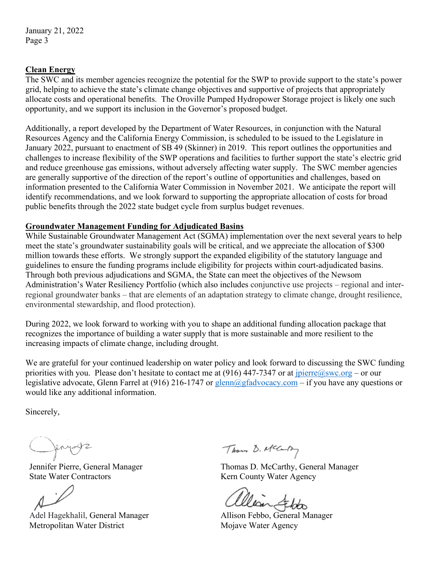## **Clean Energy**

The SWC and its member agencies recognize the potential for the SWP to provide support to the state's power grid, helping to achieve the state's climate change objectives and supportive of projects that appropriately allocate costs and operational benefits. The Oroville Pumped Hydropower Storage project is likely one such opportunity, and we support its inclusion in the Governor's proposed budget.

Additionally, a report developed by the Department of Water Resources, in conjunction with the Natural Resources Agency and the California Energy Commission, is scheduled to be issued to the Legislature in January 2022, pursuant to enactment of SB 49 (Skinner) in 2019. This report outlines the opportunities and challenges to increase flexibility of the SWP operations and facilities to further support the state's electric grid and reduce greenhouse gas emissions, without adversely affecting water supply. The SWC member agencies are generally supportive of the direction of the report's outline of opportunities and challenges, based on information presented to the California Water Commission in November 2021. We anticipate the report will identify recommendations, and we look forward to supporting the appropriate allocation of costs for broad public benefits through the 2022 state budget cycle from surplus budget revenues.

### **Groundwater Management Funding for Adjudicated Basins**

While Sustainable Groundwater Management Act (SGMA) implementation over the next several years to help meet the state's groundwater sustainability goals will be critical, and we appreciate the allocation of \$300 million towards these efforts. We strongly support the expanded eligibility of the statutory language and guidelines to ensure the funding programs include eligibility for projects within court-adjudicated basins. Through both previous adjudications and SGMA, the State can meet the objectives of the Newsom Administration's Water Resiliency Portfolio (which also includes conjunctive use projects – regional and interregional groundwater banks – that are elements of an adaptation strategy to climate change, drought resilience, environmental stewardship, and flood protection).

During 2022, we look forward to working with you to shape an additional funding allocation package that recognizes the importance of building a water supply that is more sustainable and more resilient to the increasing impacts of climate change, including drought.

We are grateful for your continued leadership on water policy and look forward to discussing the SWC funding priorities with you. Please don't hesitate to contact me at (916) 447-7347 or at  $\text{pierre}(\hat{a}_s w c.\text{org}-\text{or our})$ legislative advocate, Glenn Farrel at (916) 216-1747 or [glenn@gfadvocacy.com](mailto:glenn@gfadvocacy.com) – if you have any questions or would like any additional information.

Sincerely,

Jennifer Pierre, General Manager State Water Contractors

Adel Hagekhalil, General Manager Metropolitan Water District

Thou D. Mcary

Thomas D. McCarthy, General Manager Kern County Water Agency

alian &bo

Allison Febbo, General Manager Mojave Water Agency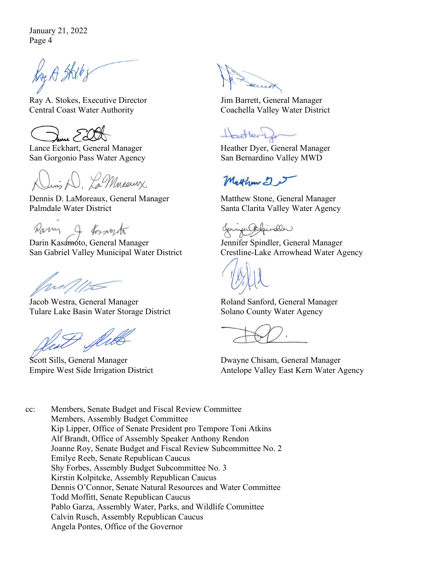January 21, 2022 Page 4

Ry A Skills

Ray A. Stokes, Executive Director Central Coast Water Authority

Lance Eckhart, General Manager San Gorgonio Pass Water Agency

Juis D. La Mneeurx

Dennis D. LaMoreaux, General Manager Palmdale Water District

Darm & forwart

Darin Kasamoto, General Manager San Gabriel Valley Municipal Water District

will

Jacob Westra, General Manager Tulare Lake Basin Water Storage District

flitt

Scott Sills, General Manager Empire West Side Irrigation District

Jim Barrett, General Manager Coachella Valley Water District

Hartlerge

Heather Dyer, General Manager San Bernardino Valley MWD

Matthaw 2 5

Matthew Stone, General Manager Santa Clarita Valley Water Agency

Connier Apindler

Jennifer Spindler, General Manager Crestline-Lake Arrowhead Water Agency

Roland Sanford, General Manager Solano County Water Agency

Dwayne Chisam, General Manager Antelope Valley East Kern Water Agency

cc: Members, Senate Budget and Fiscal Review Committee Members, Assembly Budget Committee Kip Lipper, Office of Senate President pro Tempore Toni Atkins Alf Brandt, Office of Assembly Speaker Anthony Rendon Joanne Roy, Senate Budget and Fiscal Review Subcommittee No. 2 Emilye Reeb, Senate Republican Caucus Shy Forbes, Assembly Budget Subcommittee No. 3 Kirstin Kolpitcke, Assembly Republican Caucus Dennis O'Connor, Senate Natural Resources and Water Committee Todd Moffitt, Senate Republican Caucus Pablo Garza, Assembly Water, Parks, and Wildlife Committee Calvin Rusch, Assembly Republican Caucus Angela Pontes, Office of the Governor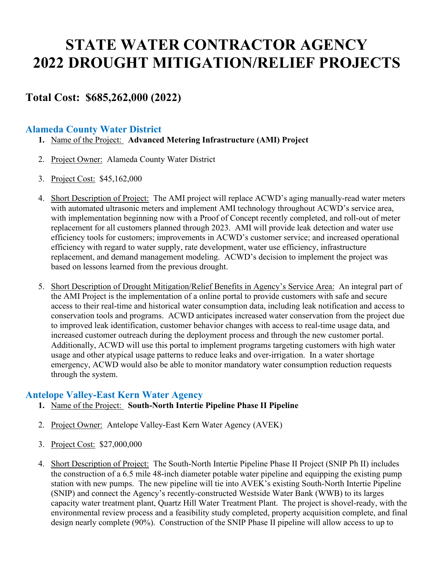# **STATE WATER CONTRACTOR AGENCY 2022 DROUGHT MITIGATION/RELIEF PROJECTS**

# **Total Cost: \$685,262,000 (2022)**

# **Alameda County Water District**

- **1.** Name of the Project: **Advanced Metering Infrastructure (AMI) Project**
- 2. Project Owner: Alameda County Water District
- 3. Project Cost: \$45,162,000
- 4. Short Description of Project: The AMI project will replace ACWD's aging manually-read water meters with automated ultrasonic meters and implement AMI technology throughout ACWD's service area, with implementation beginning now with a Proof of Concept recently completed, and roll-out of meter replacement for all customers planned through 2023. AMI will provide leak detection and water use efficiency tools for customers; improvements in ACWD's customer service; and increased operational efficiency with regard to water supply, rate development, water use efficiency, infrastructure replacement, and demand management modeling. ACWD's decision to implement the project was based on lessons learned from the previous drought.
- 5. Short Description of Drought Mitigation/Relief Benefits in Agency's Service Area: An integral part of the AMI Project is the implementation of a online portal to provide customers with safe and secure access to their real-time and historical water consumption data, including leak notification and access to conservation tools and programs. ACWD anticipates increased water conservation from the project due to improved leak identification, customer behavior changes with access to real-time usage data, and increased customer outreach during the deployment process and through the new customer portal. Additionally, ACWD will use this portal to implement programs targeting customers with high water usage and other atypical usage patterns to reduce leaks and over-irrigation. In a water shortage emergency, ACWD would also be able to monitor mandatory water consumption reduction requests through the system.

## **Antelope Valley-East Kern Water Agency**

- **1.** Name of the Project: **South-North Intertie Pipeline Phase II Pipeline**
- 2. Project Owner: Antelope Valley-East Kern Water Agency (AVEK)
- 3. Project Cost: \$27,000,000
- 4. Short Description of Project: The South-North Intertie Pipeline Phase II Project (SNIP Ph II) includes the construction of a 6.5 mile 48-inch diameter potable water pipeline and equipping the existing pump station with new pumps. The new pipeline will tie into AVEK's existing South-North Intertie Pipeline (SNIP) and connect the Agency's recently-constructed Westside Water Bank (WWB) to its larges capacity water treatment plant, Quartz Hill Water Treatment Plant. The project is shovel-ready, with the environmental review process and a feasibility study completed, property acquisition complete, and final design nearly complete (90%). Construction of the SNIP Phase II pipeline will allow access to up to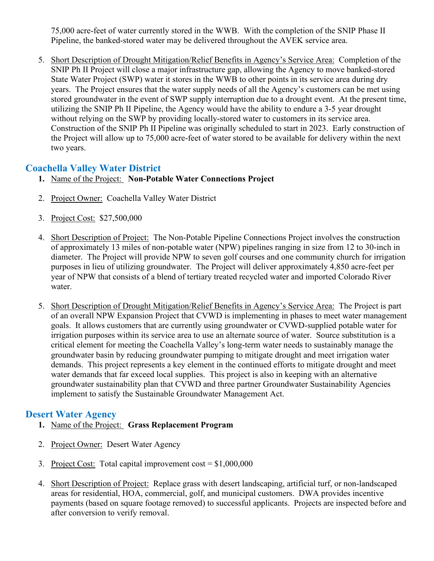75,000 acre-feet of water currently stored in the WWB. With the completion of the SNIP Phase II Pipeline, the banked-stored water may be delivered throughout the AVEK service area.

5. Short Description of Drought Mitigation/Relief Benefits in Agency's Service Area: Completion of the SNIP Ph II Project will close a major infrastructure gap, allowing the Agency to move banked-stored State Water Project (SWP) water it stores in the WWB to other points in its service area during dry years. The Project ensures that the water supply needs of all the Agency's customers can be met using stored groundwater in the event of SWP supply interruption due to a drought event. At the present time, utilizing the SNIP Ph II Pipeline, the Agency would have the ability to endure a 3-5 year drought without relying on the SWP by providing locally-stored water to customers in its service area. Construction of the SNIP Ph II Pipeline was originally scheduled to start in 2023. Early construction of the Project will allow up to 75,000 acre-feet of water stored to be available for delivery within the next two years.

# **Coachella Valley Water District**

- **1.** Name of the Project: **Non-Potable Water Connections Project**
- 2. Project Owner: Coachella Valley Water District
- 3. Project Cost: \$27,500,000
- 4. Short Description of Project: The Non-Potable Pipeline Connections Project involves the construction of approximately 13 miles of non-potable water (NPW) pipelines ranging in size from 12 to 30-inch in diameter. The Project will provide NPW to seven golf courses and one community church for irrigation purposes in lieu of utilizing groundwater. The Project will deliver approximately 4,850 acre-feet per year of NPW that consists of a blend of tertiary treated recycled water and imported Colorado River water.
- 5. Short Description of Drought Mitigation/Relief Benefits in Agency's Service Area: The Project is part of an overall NPW Expansion Project that CVWD is implementing in phases to meet water management goals. It allows customers that are currently using groundwater or CVWD-supplied potable water for irrigation purposes within its service area to use an alternate source of water. Source substitution is a critical element for meeting the Coachella Valley's long-term water needs to sustainably manage the groundwater basin by reducing groundwater pumping to mitigate drought and meet irrigation water demands. This project represents a key element in the continued efforts to mitigate drought and meet water demands that far exceed local supplies. This project is also in keeping with an alternative groundwater sustainability plan that CVWD and three partner Groundwater Sustainability Agencies implement to satisfy the Sustainable Groundwater Management Act.

# **Desert Water Agency**

- **1.** Name of the Project: **Grass Replacement Program**
- 2. Project Owner: Desert Water Agency
- 3. Project Cost: Total capital improvement cost = \$1,000,000
- 4. Short Description of Project: Replace grass with desert landscaping, artificial turf, or non-landscaped areas for residential, HOA, commercial, golf, and municipal customers. DWA provides incentive payments (based on square footage removed) to successful applicants. Projects are inspected before and after conversion to verify removal.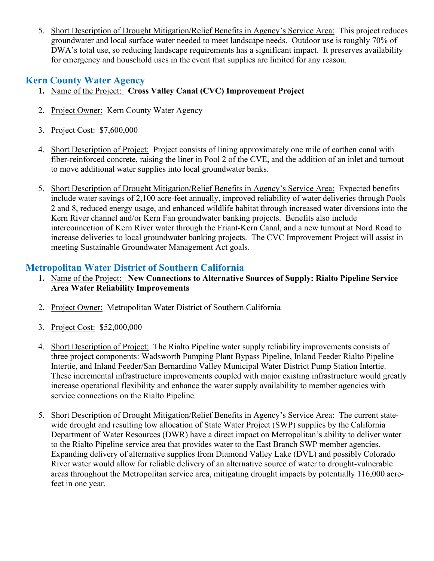5. Short Description of Drought Mitigation/Relief Benefits in Agency's Service Area: This project reduces groundwater and local surface water needed to meet landscape needs. Outdoor use is roughly 70% of DWA's total use, so reducing landscape requirements has a significant impact. It preserves availability for emergency and household uses in the event that supplies are limited for any reason.

# **Kern County Water Agency**

- **1.** Name of the Project: **Cross Valley Canal (CVC) Improvement Project**
- 2. Project Owner: Kern County Water Agency
- 3. Project Cost: \$7,600,000
- 4. Short Description of Project: Project consists of lining approximately one mile of earthen canal with fiber-reinforced concrete, raising the liner in Pool 2 of the CVE, and the addition of an inlet and turnout to move additional water supplies into local groundwater banks.
- 5. Short Description of Drought Mitigation/Relief Benefits in Agency's Service Area: Expected benefits include water savings of 2,100 acre-feet annually, improved reliability of water deliveries through Pools 2 and 8, reduced energy usage, and enhanced wildlife habitat through increased water diversions into the Kern River channel and/or Kern Fan groundwater banking projects. Benefits also include interconnection of Kern River water through the Friant-Kern Canal, and a new turnout at Nord Road to increase deliveries to local groundwater banking projects. The CVC Improvement Project will assist in meeting Sustainable Groundwater Management Act goals.

# **Metropolitan Water District of Southern California**

- **1.** Name of the Project: **New Connections to Alternative Sources of Supply: Rialto Pipeline Service Area Water Reliability Improvements**
- 2. Project Owner: Metropolitan Water District of Southern California
- 3. Project Cost: \$52,000,000
- 4. Short Description of Project: The Rialto Pipeline water supply reliability improvements consists of three project components: Wadsworth Pumping Plant Bypass Pipeline, Inland Feeder Rialto Pipeline Intertie, and Inland Feeder/San Bernardino Valley Municipal Water District Pump Station Intertie. These incremental infrastructure improvements coupled with major existing infrastructure would greatly increase operational flexibility and enhance the water supply availability to member agencies with service connections on the Rialto Pipeline.
- 5. Short Description of Drought Mitigation/Relief Benefits in Agency's Service Area: The current statewide drought and resulting low allocation of State Water Project (SWP) supplies by the California Department of Water Resources (DWR) have a direct impact on Metropolitan's ability to deliver water to the Rialto Pipeline service area that provides water to the East Branch SWP member agencies. Expanding delivery of alternative supplies from Diamond Valley Lake (DVL) and possibly Colorado River water would allow for reliable delivery of an alternative source of water to drought-vulnerable areas throughout the Metropolitan service area, mitigating drought impacts by potentially 116,000 acrefeet in one year.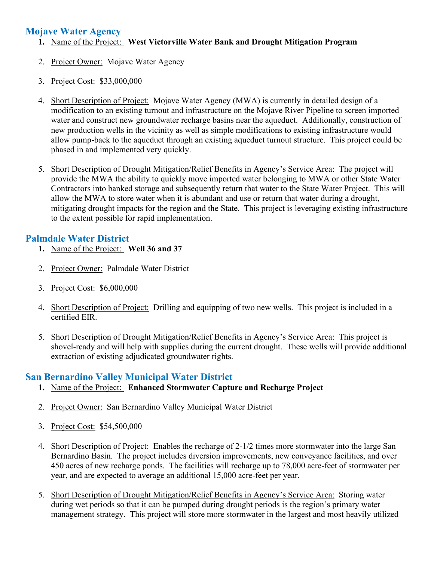# **Mojave Water Agency**

- **1.** Name of the Project: **West Victorville Water Bank and Drought Mitigation Program**
- 2. Project Owner: Mojave Water Agency
- 3. Project Cost: \$33,000,000
- 4. Short Description of Project: Mojave Water Agency (MWA) is currently in detailed design of a modification to an existing turnout and infrastructure on the Mojave River Pipeline to screen imported water and construct new groundwater recharge basins near the aqueduct. Additionally, construction of new production wells in the vicinity as well as simple modifications to existing infrastructure would allow pump-back to the aqueduct through an existing aqueduct turnout structure. This project could be phased in and implemented very quickly.
- 5. Short Description of Drought Mitigation/Relief Benefits in Agency's Service Area: The project will provide the MWA the ability to quickly move imported water belonging to MWA or other State Water Contractors into banked storage and subsequently return that water to the State Water Project. This will allow the MWA to store water when it is abundant and use or return that water during a drought, mitigating drought impacts for the region and the State. This project is leveraging existing infrastructure to the extent possible for rapid implementation.

# **Palmdale Water District**

- **1.** Name of the Project: **Well 36 and 37**
- 2. Project Owner: Palmdale Water District
- 3. Project Cost: \$6,000,000
- 4. Short Description of Project: Drilling and equipping of two new wells. This project is included in a certified EIR.
- 5. Short Description of Drought Mitigation/Relief Benefits in Agency's Service Area: This project is shovel-ready and will help with supplies during the current drought. These wells will provide additional extraction of existing adjudicated groundwater rights.

# **San Bernardino Valley Municipal Water District**

- **1.** Name of the Project: **Enhanced Stormwater Capture and Recharge Project**
- 2. Project Owner: San Bernardino Valley Municipal Water District
- 3. Project Cost: \$54,500,000
- 4. Short Description of Project: Enables the recharge of 2-1/2 times more stormwater into the large San Bernardino Basin. The project includes diversion improvements, new conveyance facilities, and over 450 acres of new recharge ponds. The facilities will recharge up to 78,000 acre-feet of stormwater per year, and are expected to average an additional 15,000 acre-feet per year.
- 5. Short Description of Drought Mitigation/Relief Benefits in Agency's Service Area: Storing water during wet periods so that it can be pumped during drought periods is the region's primary water management strategy. This project will store more stormwater in the largest and most heavily utilized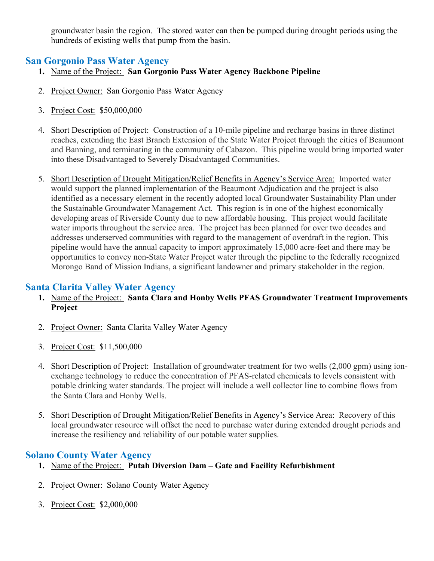groundwater basin the region. The stored water can then be pumped during drought periods using the hundreds of existing wells that pump from the basin.

# **San Gorgonio Pass Water Agency**

- **1.** Name of the Project: **San Gorgonio Pass Water Agency Backbone Pipeline**
- 2. Project Owner: San Gorgonio Pass Water Agency
- 3. Project Cost: \$50,000,000
- 4. Short Description of Project: Construction of a 10-mile pipeline and recharge basins in three distinct reaches, extending the East Branch Extension of the State Water Project through the cities of Beaumont and Banning, and terminating in the community of Cabazon. This pipeline would bring imported water into these Disadvantaged to Severely Disadvantaged Communities.
- 5. Short Description of Drought Mitigation/Relief Benefits in Agency's Service Area: Imported water would support the planned implementation of the Beaumont Adjudication and the project is also identified as a necessary element in the recently adopted local Groundwater Sustainability Plan under the Sustainable Groundwater Management Act. This region is in one of the highest economically developing areas of Riverside County due to new affordable housing. This project would facilitate water imports throughout the service area. The project has been planned for over two decades and addresses underserved communities with regard to the management of overdraft in the region. This pipeline would have the annual capacity to import approximately 15,000 acre-feet and there may be opportunities to convey non-State Water Project water through the pipeline to the federally recognized Morongo Band of Mission Indians, a significant landowner and primary stakeholder in the region.

# **Santa Clarita Valley Water Agency**

- **1.** Name of the Project: **Santa Clara and Honby Wells PFAS Groundwater Treatment Improvements Project**
- 2. Project Owner: Santa Clarita Valley Water Agency
- 3. Project Cost: \$11,500,000
- 4. Short Description of Project: Installation of groundwater treatment for two wells (2,000 gpm) using ionexchange technology to reduce the concentration of PFAS-related chemicals to levels consistent with potable drinking water standards. The project will include a well collector line to combine flows from the Santa Clara and Honby Wells.
- 5. Short Description of Drought Mitigation/Relief Benefits in Agency's Service Area: Recovery of this local groundwater resource will offset the need to purchase water during extended drought periods and increase the resiliency and reliability of our potable water supplies.

# **Solano County Water Agency**

- **1.** Name of the Project: **Putah Diversion Dam – Gate and Facility Refurbishment**
- 2. Project Owner: Solano County Water Agency
- 3. Project Cost: \$2,000,000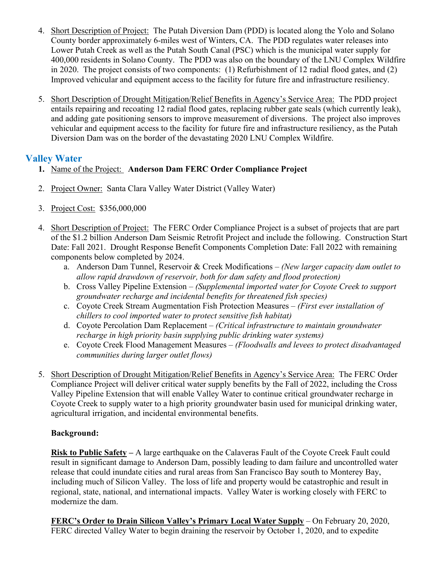- 4. Short Description of Project: The Putah Diversion Dam (PDD) is located along the Yolo and Solano County border approximately 6-miles west of Winters, CA. The PDD regulates water releases into Lower Putah Creek as well as the Putah South Canal (PSC) which is the municipal water supply for 400,000 residents in Solano County. The PDD was also on the boundary of the LNU Complex Wildfire in 2020. The project consists of two components: (1) Refurbishment of 12 radial flood gates, and (2) Improved vehicular and equipment access to the facility for future fire and infrastructure resiliency.
- 5. Short Description of Drought Mitigation/Relief Benefits in Agency's Service Area: The PDD project entails repairing and recoating 12 radial flood gates, replacing rubber gate seals (which currently leak), and adding gate positioning sensors to improve measurement of diversions. The project also improves vehicular and equipment access to the facility for future fire and infrastructure resiliency, as the Putah Diversion Dam was on the border of the devastating 2020 LNU Complex Wildfire.

# **Valley Water**

- **1.** Name of the Project: **Anderson Dam FERC Order Compliance Project**
- 2. Project Owner: Santa Clara Valley Water District (Valley Water)
- 3. Project Cost: \$356,000,000
- 4. Short Description of Project: The FERC Order Compliance Project is a subset of projects that are part of the \$1.2 billion Anderson Dam Seismic Retrofit Project and include the following. Construction Start Date: Fall 2021. Drought Response Benefit Components Completion Date: Fall 2022 with remaining components below completed by 2024.
	- a. Anderson Dam Tunnel, Reservoir & Creek Modifications *(New larger capacity dam outlet to allow rapid drawdown of reservoir, both for dam safety and flood protection)*
	- b. Cross Valley Pipeline Extension *(Supplemental imported water for Coyote Creek to support groundwater recharge and incidental benefits for threatened fish species)*
	- c. Coyote Creek Stream Augmentation Fish Protection Measures *(First ever installation of chillers to cool imported water to protect sensitive fish habitat)*
	- d. Coyote Percolation Dam Replacement *(Critical infrastructure to maintain groundwater recharge in high priority basin supplying public drinking water systems)*
	- e. Coyote Creek Flood Management Measures *(Floodwalls and levees to protect disadvantaged communities during larger outlet flows)*
- 5. Short Description of Drought Mitigation/Relief Benefits in Agency's Service Area: The FERC Order Compliance Project will deliver critical water supply benefits by the Fall of 2022, including the Cross Valley Pipeline Extension that will enable Valley Water to continue critical groundwater recharge in Coyote Creek to supply water to a high priority groundwater basin used for municipal drinking water, agricultural irrigation, and incidental environmental benefits.

# **Background:**

**Risk to Public Safety –** A large earthquake on the Calaveras Fault of the Coyote Creek Fault could result in significant damage to Anderson Dam, possibly leading to dam failure and uncontrolled water release that could inundate cities and rural areas from San Francisco Bay south to Monterey Bay, including much of Silicon Valley. The loss of life and property would be catastrophic and result in regional, state, national, and international impacts. Valley Water is working closely with FERC to modernize the dam.

**FERC's Order to Drain Silicon Valley's Primary Local Water Supply** – On February 20, 2020, FERC directed Valley Water to begin draining the reservoir by October 1, 2020, and to expedite